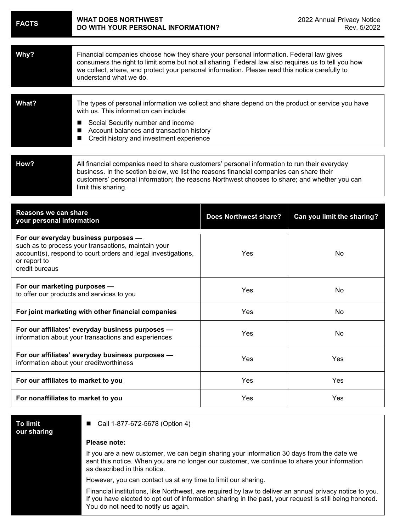| <b>FACTS</b>                                                                                                                                                                                   | <b>WHAT DOES NORTHWEST</b><br>DO WITH YOUR PERSONAL INFORMATION?                                                                                                                                                                                                                                                          |                              | 2022 Annual Privacy Notice<br>Rev. 5/2022 |  |
|------------------------------------------------------------------------------------------------------------------------------------------------------------------------------------------------|---------------------------------------------------------------------------------------------------------------------------------------------------------------------------------------------------------------------------------------------------------------------------------------------------------------------------|------------------------------|-------------------------------------------|--|
| Why?                                                                                                                                                                                           | Financial companies choose how they share your personal information. Federal law gives<br>consumers the right to limit some but not all sharing. Federal law also requires us to tell you how<br>we collect, share, and protect your personal information. Please read this notice carefully to<br>understand what we do. |                              |                                           |  |
| What?                                                                                                                                                                                          | The types of personal information we collect and share depend on the product or service you have<br>with us. This information can include:<br>Social Security number and income<br>■<br>Account balances and transaction history<br>■<br>Credit history and investment experience<br>■                                    |                              |                                           |  |
| How?                                                                                                                                                                                           | All financial companies need to share customers' personal information to run their everyday<br>business. In the section below, we list the reasons financial companies can share their<br>customers' personal information; the reasons Northwest chooses to share; and whether you can<br>limit this sharing.             |                              |                                           |  |
| <b>Reasons we can share</b><br>your personal information                                                                                                                                       |                                                                                                                                                                                                                                                                                                                           | <b>Does Northwest share?</b> | Can you limit the sharing?                |  |
| For our everyday business purposes -<br>such as to process your transactions, maintain your<br>account(s), respond to court orders and legal investigations,<br>or report to<br>credit bureaus |                                                                                                                                                                                                                                                                                                                           | Yes                          | No                                        |  |
| For our marketing purposes -<br>to offer our products and services to you                                                                                                                      |                                                                                                                                                                                                                                                                                                                           | Yes                          | No                                        |  |
| For joint marketing with other financial companies                                                                                                                                             |                                                                                                                                                                                                                                                                                                                           | Yes                          | No                                        |  |
| For our affiliates' everyday business purposes -<br>information about your transactions and experiences                                                                                        |                                                                                                                                                                                                                                                                                                                           | Yes                          | No                                        |  |
| For our affiliates' everyday business purposes -<br>information about your creditworthiness                                                                                                    |                                                                                                                                                                                                                                                                                                                           | Yes                          | Yes                                       |  |
| For our affiliates to market to you                                                                                                                                                            |                                                                                                                                                                                                                                                                                                                           | Yes                          | Yes                                       |  |
| For nonaffiliates to market to you                                                                                                                                                             |                                                                                                                                                                                                                                                                                                                           | Yes                          | Yes                                       |  |

| To limit    |  |
|-------------|--|
| our sharing |  |

■ Call 1-877-672-5678 (Option 4)

## **Please note:**

If you are a new customer, we can begin sharing your information 30 days from the date we sent this notice. When you are no longer our customer, we continue to share your information as described in this notice.

However, you can contact us at any time to limit our sharing.

Financial institutions, like Northwest, are required by law to deliver an annual privacy notice to you. If you have elected to opt out of information sharing in the past, your request is still being honored. You do not need to notify us again.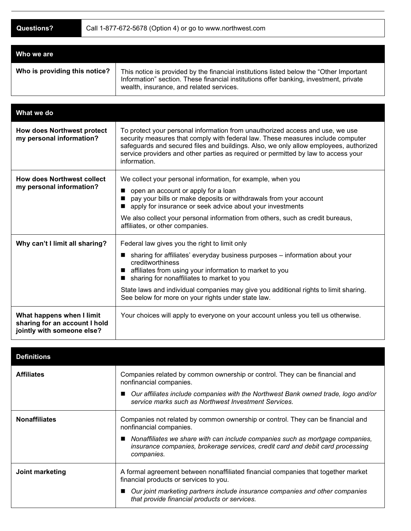| Who we are                    |                                                                                                                                                                                                                               |
|-------------------------------|-------------------------------------------------------------------------------------------------------------------------------------------------------------------------------------------------------------------------------|
| Who is providing this notice? | This notice is provided by the financial institutions listed below the "Other Important"<br>Information" section. These financial institutions offer banking, investment, private<br>wealth, insurance, and related services. |

| What we do                                                                               |                                                                                                                                                                                                                                                                                                                                                                                                                           |
|------------------------------------------------------------------------------------------|---------------------------------------------------------------------------------------------------------------------------------------------------------------------------------------------------------------------------------------------------------------------------------------------------------------------------------------------------------------------------------------------------------------------------|
| <b>How does Northwest protect</b><br>my personal information?                            | To protect your personal information from unauthorized access and use, we use<br>security measures that comply with federal law. These measures include computer<br>safeguards and secured files and buildings. Also, we only allow employees, authorized<br>service providers and other parties as required or permitted by law to access your<br>information.                                                           |
| <b>How does Northwest collect</b><br>my personal information?                            | We collect your personal information, for example, when you<br>open an account or apply for a loan<br>pay your bills or make deposits or withdrawals from your account<br>apply for insurance or seek advice about your investments<br>We also collect your personal information from others, such as credit bureaus,<br>affiliates, or other companies.                                                                  |
| Why can't I limit all sharing?                                                           | Federal law gives you the right to limit only<br>sharing for affiliates' everyday business purposes - information about your<br>$\blacksquare$<br>creditworthiness<br>affiliates from using your information to market to you<br>sharing for nonaffiliates to market to you<br>State laws and individual companies may give you additional rights to limit sharing.<br>See below for more on your rights under state law. |
| What happens when I limit<br>sharing for an account I hold<br>jointly with someone else? | Your choices will apply to everyone on your account unless you tell us otherwise.                                                                                                                                                                                                                                                                                                                                         |

| <b>Definitions</b>   |                                                                                                                                                                                                                                                                                             |
|----------------------|---------------------------------------------------------------------------------------------------------------------------------------------------------------------------------------------------------------------------------------------------------------------------------------------|
| <b>Affiliates</b>    | Companies related by common ownership or control. They can be financial and<br>nonfinancial companies.<br>Our affiliates include companies with the Northwest Bank owned trade, logo and/or<br>service marks such as Northwest Investment Services.                                         |
| <b>Nonaffiliates</b> | Companies not related by common ownership or control. They can be financial and<br>nonfinancial companies.<br>Nonaffiliates we share with can include companies such as mortgage companies,<br>insurance companies, brokerage services, credit card and debit card processing<br>companies. |
| Joint marketing      | A formal agreement between nonaffiliated financial companies that together market<br>financial products or services to you.<br>Our joint marketing partners include insurance companies and other companies<br>that provide financial products or services.                                 |